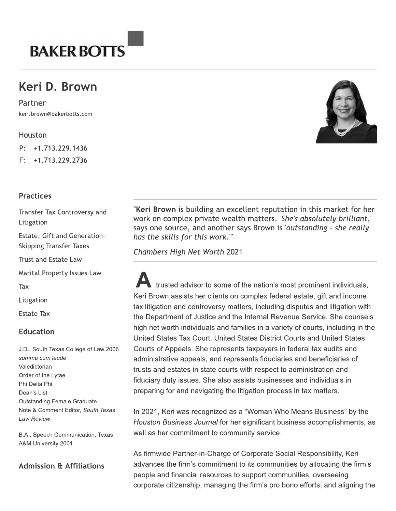

# Keri D. Brown

keri.brown@bakerbotts.com



# **Practices**

Transfer Tax Controversy and Litigation

Estate, Gift and Generation-**Skipping Transfer Taxes** 

**Trust and Estate Law** 

Marital Property Issues Law

Tax<br>Litigation

Estate Tax<br>**Education** 

J.D., South Texas College of Law 2006 summa cum laude Valedictorian Order of the Lytae Phi Delta Phi Dean's List Outstanding Female Graduate Note & Comment Editor, South Texas Law Review

B.A., Speech Communication, Texas A&M University 2001

### Admission & Affiliations

**Kerl Browl** 

229.1436<br>
229.2736<br>
229.2736<br>
229.2736<br>
229.2736<br> **Example 18 Example Strate Example Strate Example:**<br> **Example Strate Example Strate Example:**<br>
Thus the skills for this work."<br>
23 and Generation-<br>
Inter Taxes<br>
25 chamber United States Tax Court, United States District Courts and United States Courts of Appeals. She represents taxpayers in federal tax audits and administrative appeals, and represents fiduciaries and beneficiaries of trusts and estates in state courts with respect to administration and fiduciary duty issues. She also assists businesses and individuals in preparing for and navigating the litigation process in tax matters. Heritor<br>
Houston Transfer Tax Controversy and<br>
Fractices<br>
First-1,713,229,2736<br>
First-1,713,229,2736<br>
First-1,713,229,2736<br>
Estate, Gift and Generation<br>
work on complex, pivote work.<br>
Estate and the extractors<br>
State and

In 2021, Keri was recognized as a "Woman Who Means Business" by the Houston Business Journal for her significant business accomplishments, as well as her commitment to community service.

As firmwide Partner-in-Charge of Corporate Social Responsibility, Keri advances the firm's commitment to its communities by allocating the firm's people and financial resources to support communities, overseeing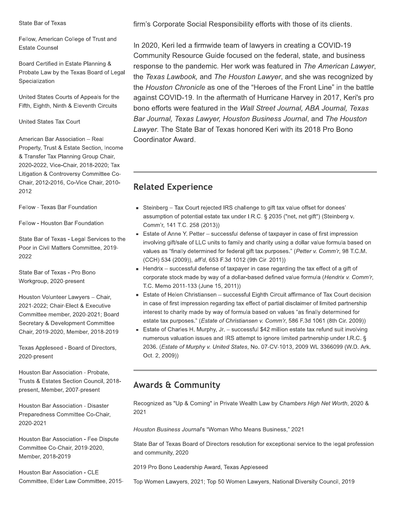#### State Bar of Texas

Fellow, American College of Trust and **Estate Counsel** 

Board Certified in Estate Planning & Probate Law by the Texas Board of Legal Specialization

United States Courts of Appeals for the Fifth, Eighth, Ninth & Eleventh Circuits

United States Tax Court

American Bar Association - Real Property, Trust & Estate Section, Income & Transfer Tax Planning Group Chair, 2020-2022, Vice-Chair, 2018-2020; Tax Litigation & Controversy Committee Co-Chair, 2012-2016, Co-Vice Chair, 2010-2012

Fellow - Texas Bar Foundation

Fellow - Houston Bar Foundation

State Bar of Texas - Legal Services to the Poor in Civil Matters Committee, 2019-2022

State Bar of Texas - Pro Bono Workgroup, 2020-present

Houston Volunteer Lawyers - Chair, 2021-2022; Chair-Elect & Executive Committee member, 2020-2021; Board Secretary & Development Committee Chair, 2019-2020, Member, 2018-2019

Texas Appleseed - Board of Directors, 2020-present

Houston Bar Association - Probate, Trusts & Estates Section Council, 2018present, Member, 2007-present

Houston Bar Association - Disaster Preparedness Committee Co-Chair, 2020-2021

Houston Bar Association - Fee Dispute Committee Co-Chair, 2019-2020, Member, 2018-2019

Houston Bar Association - CLE Committee, Elder Law Committee, 2015firm's Corporate Social Responsibility efforts with those of its clients.

In 2020, Keri led a firmwide team of lawyers in creating a COVID-19 Community Resource Guide focused on the federal, state, and business response to the pandemic. Her work was featured in The American Lawyer, the Texas Lawbook, and The Houston Lawyer, and she was recognized by the Houston Chronicle as one of the "Heroes of the Front Line" in the battle against COVID-19. In the aftermath of Hurricane Harvey in 2017, Keri's pro bono efforts were featured in the Wall Street Journal, ABA Journal, Texas Bar Journal, Texas Lawyer, Houston Business Journal, and The Houston Lawyer. The State Bar of Texas honored Keri with its 2018 Pro Bono Coordinator Award.

# **Related Experience**

- Steinberg Tax Court rejected IRS challenge to gift tax value offset for donees' assumption of potential estate tax under I.R.C. § 2035 ("net, net gift") (Steinberg v. Comm'r, 141 T.C. 258 (2013))
- Estate of Anne Y. Petter successful defense of taxpayer in case of first impression involving gift/sale of LLC units to family and charity using a dollar value formula based on values as "finally determined for federal gift tax purposes." (Petter v. Comm'r, 98 T.C.M. (CCH) 534 (2009)), aff'd, 653 F.3d 1012 (9th Cir. 2011))
- $\blacksquare$  Hendrix successful defense of taxpayer in case regarding the tax effect of a gift of corporate stock made by way of a dollar-based defined value formula (Hendrix v. Comm'r, T.C. Memo 2011-133 (June 15, 2011))
- Estate of Helen Christiansen successful Eighth Circuit affirmance of Tax Court decision in case of first impression regarding tax effect of partial disclaimer of limited partnership interest to charity made by way of formula based on values "as finally determined for estate tax purposes." (Estate of Christiansen v. Comm'r, 586 F.3d 1061 (8th Cir. 2009))
- Estate of Charles H. Murphy, Jr. successful \$42 million estate tax refund suit involving numerous valuation issues and IRS attempt to ignore limited partnership under I.R.C. § 2036. (Estate of Murphy v. United States, No. 07-CV-1013, 2009 WL 3366099 (W.D. Ark. Oct. 2, 2009))

# **Awards & Community**

Recognized as "Up & Coming" in Private Wealth Law by Chambers High Net Worth, 2020 & 2021

Houston Business Journal's "Woman Who Means Business," 2021

State Bar of Texas Board of Directors resolution for exceptional service to the legal profession and community, 2020

2019 Pro Bono Leadership Award, Texas Appleseed

Top Women Lawyers, 2021; Top 50 Women Lawyers, National Diversity Council, 2019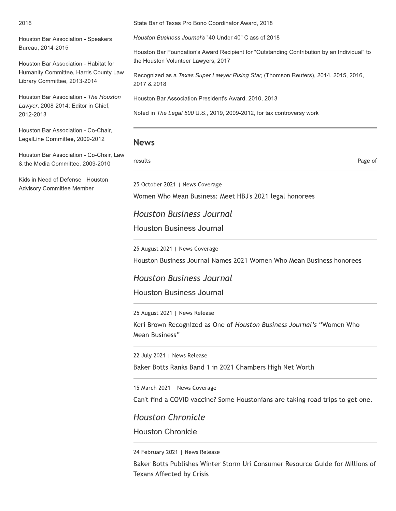#### 2016

Houston Bar Association - Speakers Bureau, 2014-2015

Houston Bar Association - Habitat for Humanity Committee, Harris County Law Library Committee, 2013-2014

Houston Bar Association - The Houston Lawyer, 2008-2014; Editor in Chief, 2012-2013

Houston Bar Association - Co-Chair, LegaiLine Committee, 2009-2012

Houston Bar Association - Co-Chair, Law & the Media Committee, 2009-2010

Kids in Need of Defense - Houston Advisory Committee Member

State Bar of Texas Pro Bono Coordinator Award, 2018

Houston Bar Foundation's Award Recipient for "Outstanding Contribution by an individual" to bution by an Individual" to<br>ers), 2014, 2015, 2016,<br>. the Houston volunteer Lawyers, 2017

State Bar of Texas Pro Bono Coordinator Award, 2018<br>
Houston Business Journal's "40 Under 40" Class of 2018<br>
Houston Bar Foundation's Award Recipient for "Outstanding Cor<br>
the Houston Volunteer Lawyers, 2017<br>
Recognized as Sono Coordinator Award, 2018<br>
2018<br>
2018 Salvard Recipient for "Outstanding Contribut<br>
2017<br>
2017<br>
2019 Super Lawyer Rising Star, (Thomson Reuters<br>
2018 President's Award, 2010, 2013<br>
2019 2019 2019 10: Recognized as a *Texas Super Lawyer Rising Star*, (Thomson Reuters), 2014, 2015, 2016, 2017 & 2018

Houston Bar Association President's Award, 2010, 2013

Noted in T*he Legal 500* U.S., 2019, 2009-2012, for tax controversy work

#### **News**

Z[\]^\_\ `ab[cd

25 October 2021 | News Coverage

Women Who Mean Business: Meet HBJ's 2021 legal honorees

Houston Business Journal

Houston Business Journal

25 August 2021 | News Coverage

Houston Business Journal Names 2021 Women Who Mean Business honorees

#### Houston Business Journal

Houston Business Journal

25 August 2021 | News Release

Keri Brown Recognized as One of Houston Business Journal's "Women Who Mean Business"

22 July 2021 | News Release

Baker Botts Ranks Band 1 in 2021 Chambers High Net Worth

15 March 2021 | News Coverage

Can't find a COVID vaccine? Some Houstonians are taking road trips to get one.

Houston Chronicle

Houston Chronicle

24 February 2021 | News Release

Baker Botts Publishes Winter Storm Uri Consumer Resource Guide for Millions of Texans Affected by Crisis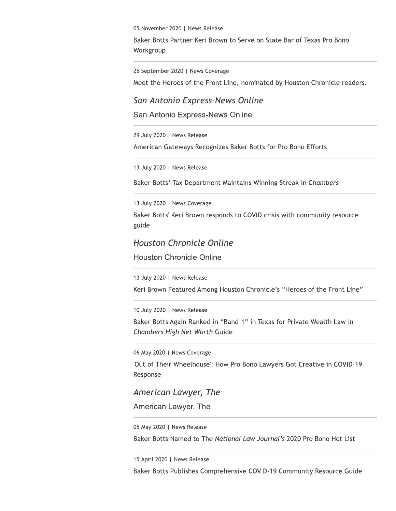05 November 2020 | News Release

Baker Botts Partner Keri Brown to Serve on State Bar of Texas Pro Bono Workgroup

25 September 2020 | News Coverage

Meet the Heroes of the Front Line, nominated by Houston Chronicle readers.

### San Antonio Express-News Online

San Antonio Express-News Online

29 July 2020 | News Release

American Gateways Recognizes Baker Botts for Pro Bono Efforts

13 July 2020 | News Release

Baker Botts' Tax Department Maintains Winning Streak in Chambers

13 July 2020 | News Coverage

Baker Botts' Keri Brown responds to COVID crisis with community resource guide

### **Houston Chronicle Online**

**Houston Chronicle Online** 

13 July 2020 | News Release

Keri Brown Featured Among Houston Chronicle's "Heroes of the Front Line"

10 July 2020 | News Release

Baker Botts Again Ranked in "Band-1" in Texas for Private Wealth Law in Chambers High Net Worth Guide

06 May 2020 | News Coverage

'Out of Their Wheelhouse': How Pro Bono Lawyers Got Creative in COVID-19 Response

American Lawyer, The

American Lawyer, The

05 May 2020 | News Release

Baker Botts Named to The National Law Journal's 2020 Pro Bono Hot List

15 April 2020 | News Release

Baker Botts Publishes Comprehensive COVID-19 Community Resource Guide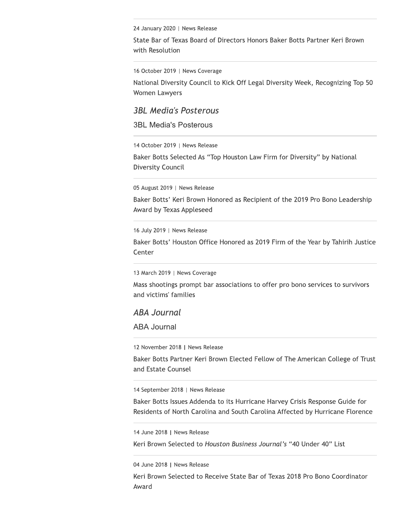24 January 2020 | News Release

State Bar of Texas Board of Directors Honors Baker Botts Partner Keri Brown with Resolution

16 October 2019 | News Coverage

National Diversity Council to Kick Off Legal Diversity Week, Recognizing Top 50 Women Lawyers

**3BL Media's Posterous** 

**3BL Media's Posterous** 

14 October 2019 | News Release

Baker Botts Selected As "Top Houston Law Firm for Diversity" by National Diversity Council

05 August 2019 | News Release

Baker Botts' Keri Brown Honored as Recipient of the 2019 Pro Bono Leadership Award by Texas Appleseed

16 July 2019 | News Release

Baker Botts' Houston Office Honored as 2019 Firm of the Year by Tahirih Justice Center

13 March 2019 | News Coverage

Mass shootings prompt bar associations to offer pro bono services to survivors and victims' families

#### **ABA Journal**

**ABA Journal** 

12 November 2018 | News Release

Baker Botts Partner Keri Brown Elected Fellow of The American College of Trust and Estate Counsel

14 September 2018 | News Release

Baker Botts Issues Addenda to its Hurricane Harvey Crisis Response Guide for Residents of North Carolina and South Carolina Affected by Hurricane Florence

14 June 2018 | News Release

Keri Brown Selected to Houston Business Journal's "40 Under 40" List

04 June 2018 | News Release

Keri Brown Selected to Receive State Bar of Texas 2018 Pro Bono Coordinator Award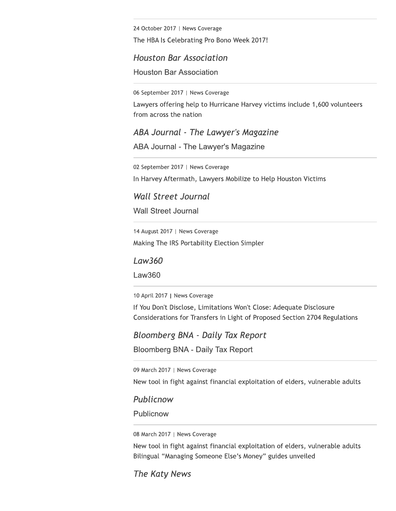24 October 2017 | News Coverage

The HBA Is Celebrating Pro Bono Week 2017!

**Houston Bar Association Houston Bar Association** 

06 September 2017 | News Coverage

Lawyers offering help to Hurricane Harvey victims include 1,600 volunteers from across the nation

ABA Journal - The Lawyer's Magazine

ABA Journal - The Lawyer's Magazine

02 September 2017 | News Coverage

In Harvey Aftermath, Lawyers Mobilize to Help Houston Victims

**Wall Street Journal** 

**Wall Street Journal** 

14 August 2017 | News Coverage Making The IRS Portability Election Simpler

Law360

Law360

10 April 2017 | News Coverage

If You Don't Disclose, Limitations Won't Close: Adequate Disclosure Considerations for Transfers in Light of Proposed Section 2704 Regulations

**Bloomberg BNA - Daily Tax Report** 

**Bloomberg BNA - Daily Tax Report** 

09 March 2017 | News Coverage

New tool in fight against financial exploitation of elders, vulnerable adults

Publicnow

Publicnow

08 March 2017 | News Coverage

New tool in fight against financial exploitation of elders, vulnerable adults Bilingual "Managing Someone Else's Money" guides unveiled

The Katy News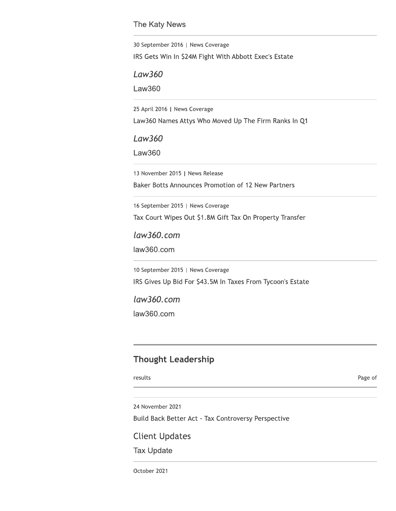#### The Katy News

30 September 2016 | News Coverage

IRS Gets Win In \$24M Fight With Abbott Exec's Estate

Law360

**Law360** 

25 April 2016 | News Coverage

Law360 Names Attys Who Moved Up The Firm Ranks In Q1

**Law360** 

Law360

13 November 2015 | News Release

Baker Botts Announces Promotion of 12 New Partners

16 September 2015 | News Coverage

Tax Court Wipes Out \$1.8M Gift Tax On Property Transfer

law360.com

law360.com

10 September 2015 | News Coverage IRS Gives Up Bid For \$43.5M In Taxes From Tycoon's Estate

 $law360.com$ law360.com

# **Thought Leadership**

results

Page of

24 November 2021

Build Back Better Act - Tax Controversy Perspective

**Client Updates** 

**Tax Update** 

October 2021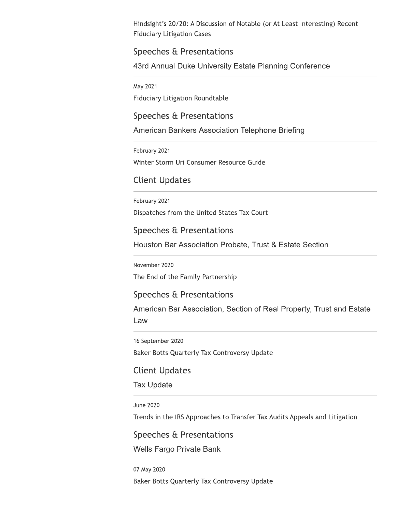Hindsight's 20/20: A Discussion of Notable (or At Least Interesting) Recent **Fiduciary Litigation Cases** 

## Speeches & Presentations

43rd Annual Duke University Estate Planning Conference

May 2021

**Fiduciary Litigation Roundtable** 

Speeches & Presentations

American Bankers Association Telephone Briefing

February 2021

Winter Storm Uri Consumer Resource Guide

# **Client Updates**

February 2021

Dispatches from the United States Tax Court

Speeches & Presentations

Houston Bar Association Probate, Trust & Estate Section

November 2020

The End of the Family Partnership

#### Speeches & Presentations

American Bar Association, Section of Real Property, Trust and Estate Law

16 September 2020

Baker Botts Quarterly Tax Controversy Update

**Client Updates** 

**Tax Update** 

**June 2020** 

Trends in the IRS Approaches to Transfer Tax Audits Appeals and Litigation

Speeches & Presentations

**Wells Fargo Private Bank** 

07 May 2020 Baker Botts Quarterly Tax Controversy Update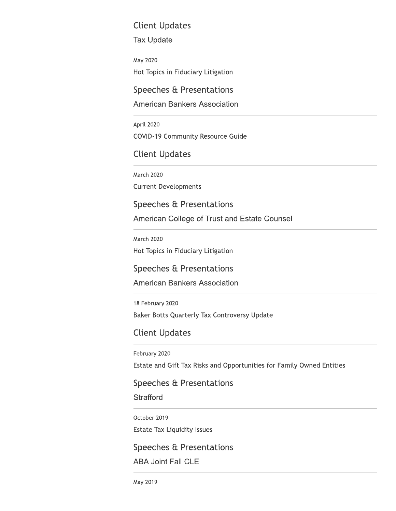# **Client Updates**

#### **Tax Update**

May 2020 Hot Topics in Fiduciary Litigation

Speeches & Presentations

# **American Bankers Association**

April 2020 **COVID-19 Community Resource Guide** 

# **Client Updates**

March 2020 **Current Developments** 

# Speeches & Presentations

American College of Trust and Estate Counsel

**March 2020** Hot Topics in Fiduciary Litigation

# Speeches & Presentations

**American Bankers Association** 

18 February 2020 Baker Botts Quarterly Tax Controversy Update

# **Client Updates**

February 2020

Estate and Gift Tax Risks and Opportunities for Family Owned Entities

# Speeches & Presentations

**Strafford** 

October 2019

**Estate Tax Liquidity Issues** 

# Speeches & Presentations

**ABA Joint Fall CLE**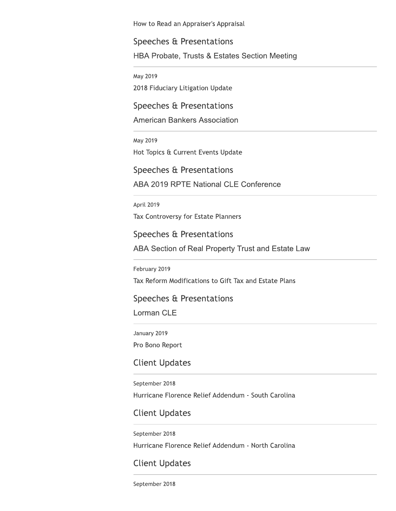How to Read an Appraiser's Appraisal

# Speeches & Presentations

HBA Probate, Trusts & Estates Section Meeting

May 2019

2018 Fiduciary Litigation Update

# Speeches & Presentations

**American Bankers Association** 

May 2019

Hot Topics & Current Events Update

Speeches & Presentations

**ABA 2019 RPTE National CLE Conference** 

April 2019

Tax Controversy for Estate Planners

Speeches & Presentations

ABA Section of Real Property Trust and Estate Law

February 2019

Tax Reform Modifications to Gift Tax and Estate Plans

# Speeches & Presentations

Lorman CLE

January 2019

Pro Bono Report

# **Client Updates**

September 2018 Hurricane Florence Relief Addendum - South Carolina

# **Client Updates**

September 2018 Hurricane Florence Relief Addendum - North Carolina

# **Client Updates**

September 2018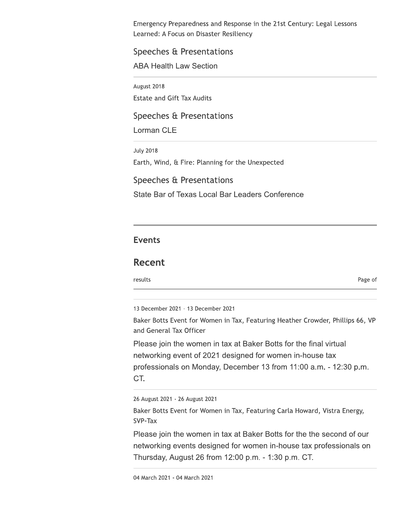Emergency Preparedness and Response in the 21st Century: Legal Lessons Learned: A Focus on Disaster Resiliency

# Speeches & Presentations

**ABA Health Law Section** 

August 2018 **Estate and Gift Tax Audits** 

Speeches & Presentations

Lorman CLE

**July 2018** Earth, Wind, & Fire: Planning for the Unexpected Speeches & Presentations State Bar of Texas Local Bar Leaders Conference

# **Events**

# **Recent**

results

Page of

13 December 2021 - 13 December 2021

Baker Botts Event for Women in Tax, Featuring Heather Crowder, Phillips 66, VP and General Tax Officer

Please join the women in tax at Baker Botts for the final virtual networking event of 2021 designed for women in-house tax professionals on Monday, December 13 from 11:00 a.m. - 12:30 p.m. CT.

26 August 2021 - 26 August 2021

Baker Botts Event for Women in Tax, Featuring Carla Howard, Vistra Energy, SVP-Tax

Please join the women in tax at Baker Botts for the the second of our networking events designed for women in-house tax professionals on Thursday, August 26 from 12:00 p.m. - 1:30 p.m. CT.